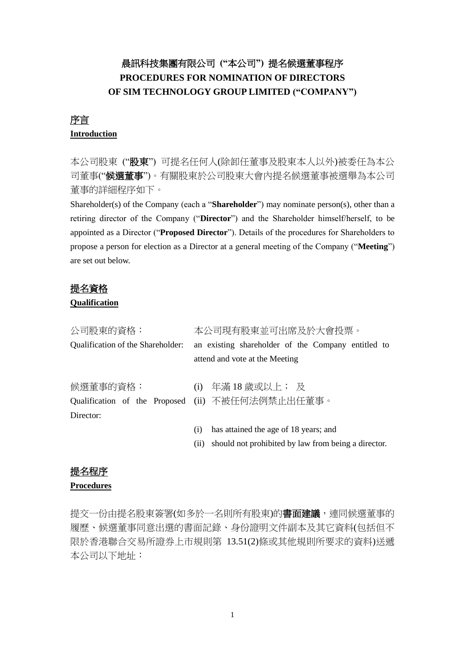# 晨訊科技集團有限公司 **("**本公司**")** 提名候選董事程序 **PROCEDURES FOR NOMINATION OF DIRECTORS OF SIM TECHNOLOGY GROUP LIMITED ("COMPANY")**

# 序言

### **Introduction**

本公司股東 ("股東") 可提名任何人(除卸任董事及股東本人以外)被委任為本公 司董事("候選董事")。有關股東於公司股東大會內提名候選董事被選舉為本公司 董事的詳細程序如下。

Shareholder(s) of the Company (each a "**Shareholder**") may nominate person(s), other than a retiring director of the Company ("**Director**") and the Shareholder himself/herself, to be appointed as a Director ("**Proposed Director**"). Details of the procedures for Shareholders to propose a person for election as a Director at a general meeting of the Company ("**Meeting**") are set out below.

## 提名資格

#### **Qualification**

| 公司股東的資格:                          | 本公司現有股東並可出席及於大會投票。                                                                   |
|-----------------------------------|--------------------------------------------------------------------------------------|
| Qualification of the Shareholder: | an existing shareholder of the Company entitled to<br>attend and vote at the Meeting |
|                                   |                                                                                      |
| 候選董事的資格:                          | (i) 年滿 18 歳或以上; 及                                                                    |
| Qualification of the Proposed     | (ii) 不被任何法例禁止出任董事。                                                                   |
| Director:                         |                                                                                      |
|                                   | has attained the age of 18 years; and<br>(i)                                         |
|                                   | should not prohibited by law from being a director.<br>(11)                          |

## 提名程序

#### **Procedures**

提交一份由提名股東簽署(如多於一名則所有股東)的書面建議,連同候選董事的 [履歷、](http://hk.wrs.yahoo.com/_ylt=A3eg.8wcPcNOyTAAFah01Lt_/SIG=13v4ip1n8/EXP=1321446812/**http%3a/hk.dictionary.yahoo.com/dictionary%3fp=%25E5%25B1%25A5%25E6%25AD%25B7%25E8%25A1%25A8%26docid=2069861)候選董事同意出選的書面記錄、身份證明文件副本及其它資料(包括但不 限於香港聯合交易所證券上市規則第 13.51(2)條或其他規則所要求的資料)送遞 本公司以下地址: